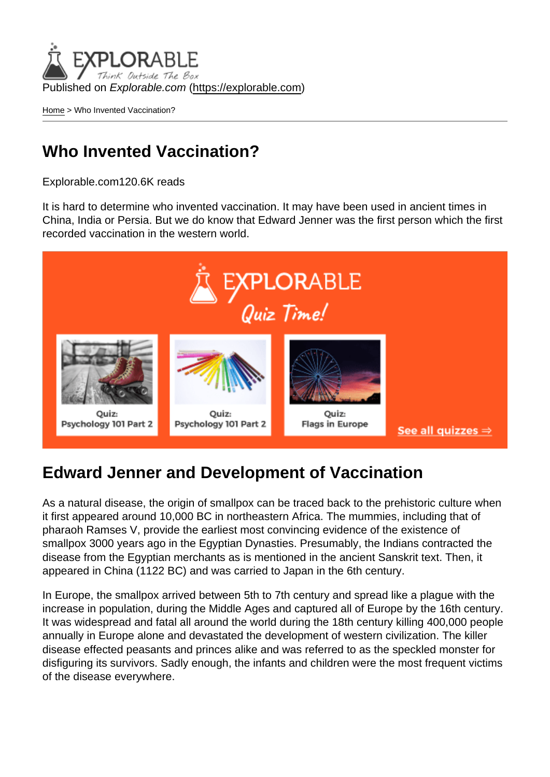Published on Explorable.com (<https://explorable.com>)

[Home](https://explorable.com/) > Who Invented Vaccination?

#### Who Invented Vaccination?

Explorable.com120.6K reads

It is hard to determine who invented vaccination. It may have been used in ancient times in China, India or Persia. But we do know that Edward Jenner was the first person which the first recorded vaccination in the western world.

#### Edward Jenner and Development of Vaccination

As a natural disease, the origin of smallpox can be traced back to the prehistoric culture when it first appeared around 10,000 BC in northeastern Africa. The mummies, including that of pharaoh Ramses V, provide the earliest most convincing evidence of the existence of smallpox 3000 years ago in the Egyptian Dynasties. Presumably, the Indians contracted the disease from the Egyptian merchants as is mentioned in the ancient Sanskrit text. Then, it appeared in China (1122 BC) and was carried to Japan in the 6th century.

In Europe, the smallpox arrived between 5th to 7th century and spread like a plague with the increase in population, during the Middle Ages and captured all of Europe by the 16th century. It was widespread and fatal all around the world during the 18th century killing 400,000 people annually in Europe alone and devastated the development of western civilization. The killer disease effected peasants and princes alike and was referred to as the speckled monster for disfiguring its survivors. Sadly enough, the infants and children were the most frequent victims of the disease everywhere.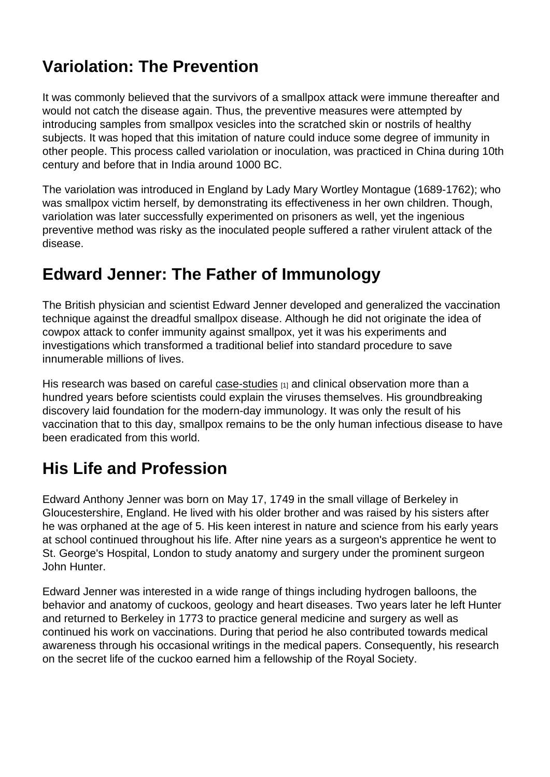# Variolation: The Prevention

It was commonly believed that the survivors of a smallpox attack were immune thereafter and would not catch the disease again. Thus, the preventive measures were attempted by introducing samples from smallpox vesicles into the scratched skin or nostrils of healthy subjects. It was hoped that this imitation of nature could induce some degree of immunity in other people. This process called variolation or inoculation, was practiced in China during 10th century and before that in India around 1000 BC.

The variolation was introduced in England by Lady Mary Wortley Montague (1689-1762); who was smallpox victim herself, by demonstrating its effectiveness in her own children. Though, variolation was later successfully experimented on prisoners as well, yet the ingenious preventive method was risky as the inoculated people suffered a rather virulent attack of the disease.

#### Edward Jenner: The Father of Immunology

The British physician and scientist Edward Jenner developed and generalized the vaccination technique against the dreadful smallpox disease. Although he did not originate the idea of cowpox attack to confer immunity against smallpox, yet it was his experiments and investigations which transformed a traditional belief into standard procedure to save innumerable millions of lives.

His research was based on careful [case-studies](https://explorable.com/case-study-research-design) [1] and clinical observation more than a hundred years before scientists could explain the viruses themselves. His groundbreaking discovery laid foundation for the modern-day immunology. It was only the result of his vaccination that to this day, smallpox remains to be the only human infectious disease to have been eradicated from this world.

# His Life and Profession

Edward Anthony Jenner was born on May 17, 1749 in the small village of Berkeley in Gloucestershire, England. He lived with his older brother and was raised by his sisters after he was orphaned at the age of 5. His keen interest in nature and science from his early years at school continued throughout his life. After nine years as a surgeon's apprentice he went to St. George's Hospital, London to study anatomy and surgery under the prominent surgeon John Hunter.

Edward Jenner was interested in a wide range of things including hydrogen balloons, the behavior and anatomy of cuckoos, geology and heart diseases. Two years later he left Hunter and returned to Berkeley in 1773 to practice general medicine and surgery as well as continued his work on vaccinations. During that period he also contributed towards medical awareness through his occasional writings in the medical papers. Consequently, his research on the secret life of the cuckoo earned him a fellowship of the Royal Society.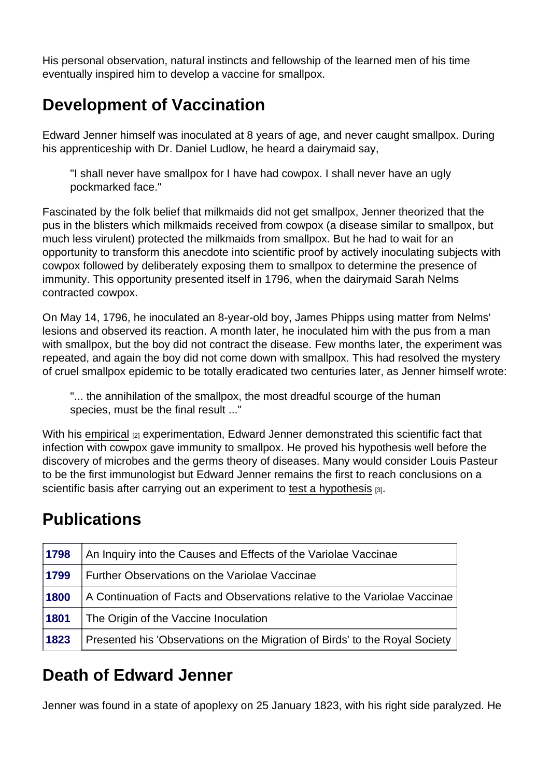His personal observation, natural instincts and fellowship of the learned men of his time eventually inspired him to develop a vaccine for smallpox.

# Development of Vaccination

Edward Jenner himself was inoculated at 8 years of age, and never caught smallpox. During his apprenticeship with Dr. Daniel Ludlow, he heard a dairymaid say,

"I shall never have smallpox for I have had cowpox. I shall never have an ugly pockmarked face."

Fascinated by the folk belief that milkmaids did not get smallpox, Jenner theorized that the pus in the blisters which milkmaids received from cowpox (a disease similar to smallpox, but much less virulent) protected the milkmaids from smallpox. But he had to wait for an opportunity to transform this anecdote into scientific proof by actively inoculating subjects with cowpox followed by deliberately exposing them to smallpox to determine the presence of immunity. This opportunity presented itself in 1796, when the dairymaid Sarah Nelms contracted cowpox.

On May 14, 1796, he inoculated an 8-year-old boy, James Phipps using matter from Nelms' lesions and observed its reaction. A month later, he inoculated him with the pus from a man with smallpox, but the boy did not contract the disease. Few months later, the experiment was repeated, and again the boy did not come down with smallpox. This had resolved the mystery of cruel smallpox epidemic to be totally eradicated two centuries later, as Jenner himself wrote:

"... the annihilation of the smallpox, the most dreadful scourge of the human species, must be the final result ..."

With his [empirical](https://explorable.com/empirical-research)  $_{[2]}$  experimentation, Edward Jenner demonstrated this scientific fact that infection with cowpox gave immunity to smallpox. He proved his hypothesis well before the discovery of microbes and the germs theory of diseases. Many would consider Louis Pasteur to be the first immunologist but Edward Jenner remains the first to reach conclusions on a scientific basis after carrying out an experiment to [test a hypothesis](https://explorable.com/hypothesis-testing) [3].

#### **Publications**

| 1798 | An Inquiry into the Causes and Effects of the Variolae Vaccinae             |
|------|-----------------------------------------------------------------------------|
| 1799 | Further Observations on the Variolae Vaccinae                               |
| 1800 | A Continuation of Facts and Observations relative to the Variolae Vaccinae  |
| 1801 | The Origin of the Vaccine Inoculation                                       |
| 1823 | Presented his 'Observations on the Migration of Birds' to the Royal Society |

# Death of Edward Jenner

Jenner was found in a state of apoplexy on 25 January 1823, with his right side paralyzed. He